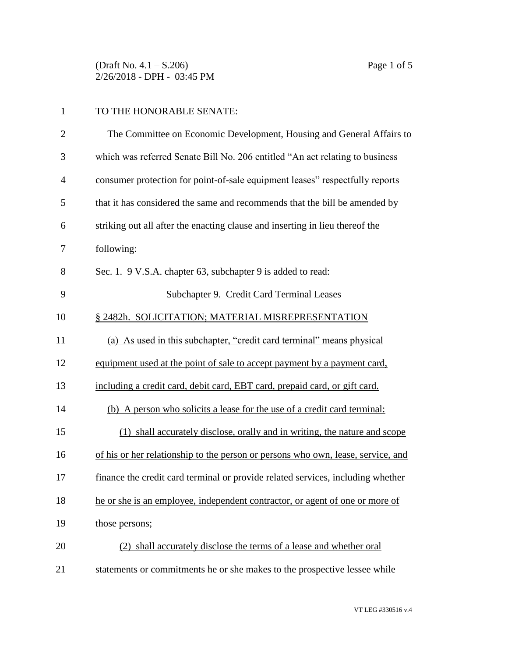(Draft No. 4.1 – S.206) Page 1 of 5 2/26/2018 - DPH - 03:45 PM

## TO THE HONORABLE SENATE:

| $\overline{2}$ | The Committee on Economic Development, Housing and General Affairs to            |
|----------------|----------------------------------------------------------------------------------|
| 3              | which was referred Senate Bill No. 206 entitled "An act relating to business     |
| $\overline{4}$ | consumer protection for point-of-sale equipment leases" respectfully reports     |
| 5              | that it has considered the same and recommends that the bill be amended by       |
| 6              | striking out all after the enacting clause and inserting in lieu thereof the     |
| 7              | following:                                                                       |
| 8              | Sec. 1. 9 V.S.A. chapter 63, subchapter 9 is added to read:                      |
| 9              | Subchapter 9. Credit Card Terminal Leases                                        |
| 10             | § 2482h. SOLICITATION; MATERIAL MISREPRESENTATION                                |
| 11             | (a) As used in this subchapter, "credit card terminal" means physical            |
| 12             | equipment used at the point of sale to accept payment by a payment card,         |
| 13             | including a credit card, debit card, EBT card, prepaid card, or gift card.       |
| 14             | (b) A person who solicits a lease for the use of a credit card terminal:         |
| 15             | (1) shall accurately disclose, orally and in writing, the nature and scope       |
| 16             | of his or her relationship to the person or persons who own, lease, service, and |
| 17             | finance the credit card terminal or provide related services, including whether  |
| 18             | he or she is an employee, independent contractor, or agent of one or more of     |
| 19             | those persons;                                                                   |
| 20             | (2) shall accurately disclose the terms of a lease and whether oral              |
| 21             | statements or commitments he or she makes to the prospective lessee while        |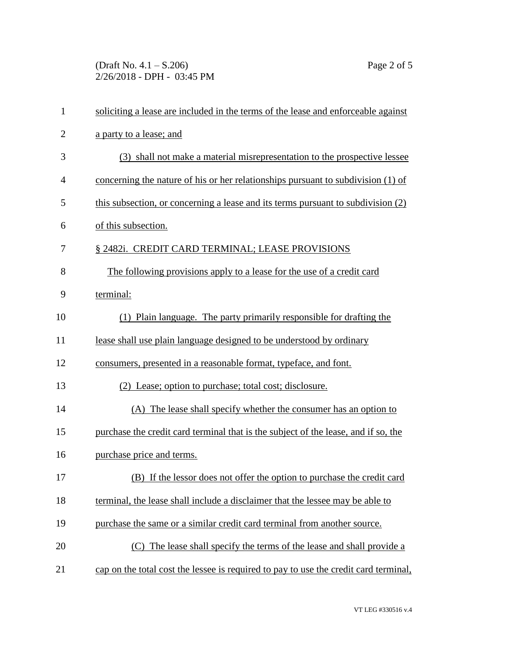(Draft No. 4.1 – S.206) Page 2 of 5 2/26/2018 - DPH - 03:45 PM

| $\mathbf{1}$   | soliciting a lease are included in the terms of the lease and enforceable against    |
|----------------|--------------------------------------------------------------------------------------|
| $\overline{2}$ | a party to a lease; and                                                              |
| 3              | (3) shall not make a material misrepresentation to the prospective lessee            |
| $\overline{4}$ | concerning the nature of his or her relationships pursuant to subdivision (1) of     |
| 5              | this subsection, or concerning a lease and its terms pursuant to subdivision (2)     |
| 6              | of this subsection.                                                                  |
| 7              | § 2482i. CREDIT CARD TERMINAL; LEASE PROVISIONS                                      |
| 8              | The following provisions apply to a lease for the use of a credit card               |
| 9              | terminal:                                                                            |
| 10             | (1) Plain language. The party primarily responsible for drafting the                 |
| 11             | lease shall use plain language designed to be understood by ordinary                 |
| 12             | consumers, presented in a reasonable format, typeface, and font.                     |
| 13             | (2) Lease; option to purchase; total cost; disclosure.                               |
| 14             | (A) The lease shall specify whether the consumer has an option to                    |
| 15             | purchase the credit card terminal that is the subject of the lease, and if so, the   |
| 16             | purchase price and terms.                                                            |
| 17             | (B) If the lessor does not offer the option to purchase the credit card              |
| 18             | terminal, the lease shall include a disclaimer that the lessee may be able to        |
| 19             | purchase the same or a similar credit card terminal from another source.             |
| 20             | (C) The lease shall specify the terms of the lease and shall provide a               |
| 21             | cap on the total cost the lessee is required to pay to use the credit card terminal, |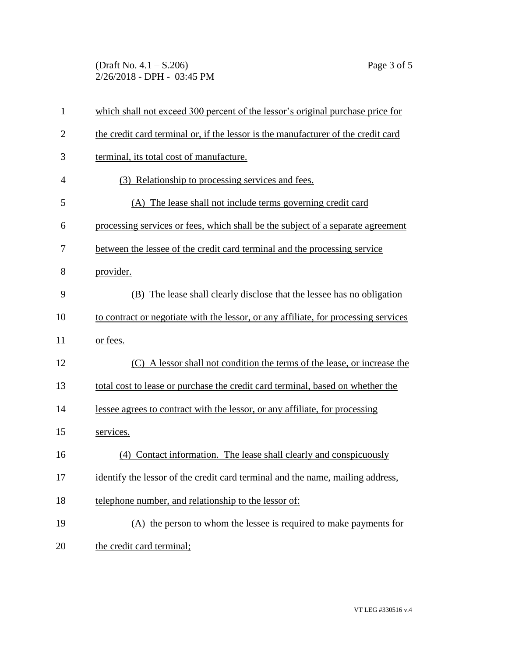(Draft No. 4.1 – S.206) Page 3 of 5 2/26/2018 - DPH - 03:45 PM

| $\mathbf{1}$   | which shall not exceed 300 percent of the lessor's original purchase price for      |
|----------------|-------------------------------------------------------------------------------------|
| $\overline{2}$ | the credit card terminal or, if the lessor is the manufacturer of the credit card   |
| 3              | terminal, its total cost of manufacture.                                            |
| 4              | (3) Relationship to processing services and fees.                                   |
| 5              | (A) The lease shall not include terms governing credit card                         |
| 6              | processing services or fees, which shall be the subject of a separate agreement     |
| 7              | between the lessee of the credit card terminal and the processing service           |
| 8              | provider.                                                                           |
| 9              | (B) The lease shall clearly disclose that the lessee has no obligation              |
| 10             | to contract or negotiate with the lessor, or any affiliate, for processing services |
| 11             | or fees.                                                                            |
| 12             | (C) A lessor shall not condition the terms of the lease, or increase the            |
| 13             | total cost to lease or purchase the credit card terminal, based on whether the      |
| 14             | lessee agrees to contract with the lessor, or any affiliate, for processing         |
| 15             | services.                                                                           |
| 16             | (4) Contact information. The lease shall clearly and conspicuously                  |
| 17             | identify the lessor of the credit card terminal and the name, mailing address,      |
| 18             | telephone number, and relationship to the lessor of:                                |
| 19             | (A) the person to whom the lessee is required to make payments for                  |
| 20             | the credit card terminal;                                                           |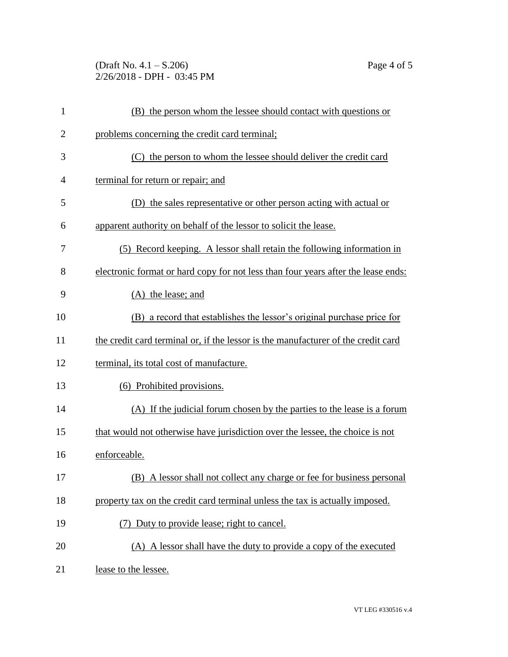$(\text{Draft No. } 4.1 - S.206)$  Page 4 of 5 2/26/2018 - DPH - 03:45 PM

| 1              | the person whom the lessee should contact with questions or                       |
|----------------|-----------------------------------------------------------------------------------|
| 2              | problems concerning the credit card terminal;                                     |
| 3              | the person to whom the lessee should deliver the credit card                      |
| $\overline{A}$ | terminal for return or repair; and                                                |
| 5              | the sales representative or other person acting with actual or                    |
| 6              | apparent authority on behalf of the lessor to solicit the lease.                  |
| 7              | Record keeping. A lessor shall retain the following information in<br>(5)         |
| 8              | electronic format or hard copy for not less than four years after the lease ends: |

|  | (A) the lease; and |  |
|--|--------------------|--|
|  |                    |  |

| 10 | (B) a record that establishes the lessor's original purchase price for |  |  |
|----|------------------------------------------------------------------------|--|--|
|    |                                                                        |  |  |

11 the credit card terminal or, if the lessor is the manufacturer of the credit card

terminal, its total cost of manufacture.

| 13 |  | (6) Prohibited provisions. |  |
|----|--|----------------------------|--|
|----|--|----------------------------|--|

- (A) If the judicial forum chosen by the parties to the lease is a forum that would not otherwise have jurisdiction over the lessee, the choice is not
- enforceable.
- (B) A lessor shall not collect any charge or fee for business personal
- 18 property tax on the credit card terminal unless the tax is actually imposed.
- 19 (7) Duty to provide lease; right to cancel.
- (A) A lessor shall have the duty to provide a copy of the executed
- 21 lease to the lessee.